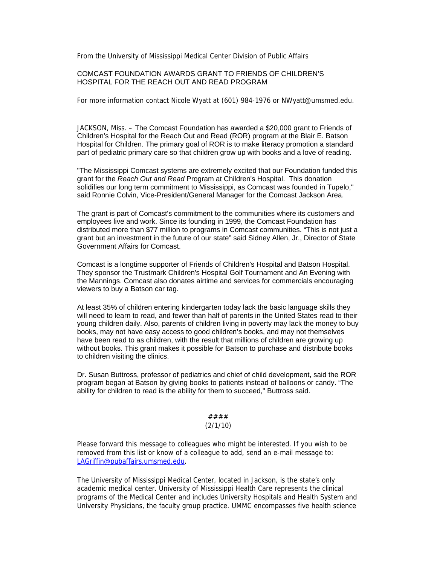From the University of Mississippi Medical Center Division of Public Affairs

# COMCAST FOUNDATION AWARDS GRANT TO FRIENDS OF CHILDREN'S HOSPITAL FOR THE REACH OUT AND READ PROGRAM

For more information contact Nicole Wyatt at (601) 984-1976 or NWyatt@umsmed.edu.

JACKSON, Miss. – The Comcast Foundation has awarded a \$20,000 grant to Friends of Children's Hospital for the Reach Out and Read (ROR) program at the Blair E. Batson Hospital for Children. The primary goal of ROR is to make literacy promotion a standard part of pediatric primary care so that children grow up with books and a love of reading.

"The Mississippi Comcast systems are extremely excited that our Foundation funded this grant for the *Reach Out and Read* Program at Children's Hospital. This donation solidifies our long term commitment to Mississippi, as Comcast was founded in Tupelo," said Ronnie Colvin, Vice-President/General Manager for the Comcast Jackson Area.

The grant is part of Comcast's commitment to the communities where its customers and employees live and work. Since its founding in 1999, the Comcast Foundation has distributed more than \$77 million to programs in Comcast communities. "This is not just a grant but an investment in the future of our state" said Sidney Allen, Jr., Director of State Government Affairs for Comcast.

Comcast is a longtime supporter of Friends of Children's Hospital and Batson Hospital. They sponsor the Trustmark Children's Hospital Golf Tournament and An Evening with the Mannings. Comcast also donates airtime and services for commercials encouraging viewers to buy a Batson car tag.

At least 35% of children entering kindergarten today lack the basic language skills they will need to learn to read, and fewer than half of parents in the United States read to their young children daily. Also, parents of children living in poverty may lack the money to buy books, may not have easy access to good children's books, and may not themselves have been read to as children, with the result that millions of children are growing up without books. This grant makes it possible for Batson to purchase and distribute books to children visiting the clinics.

Dr. Susan Buttross, professor of pediatrics and chief of child development, said the ROR program began at Batson by giving books to patients instead of balloons or candy. "The ability for children to read is the ability for them to succeed," Buttross said.

#### #### (2/1/10)

Please forward this message to colleagues who might be interested. If you wish to be removed from this list or know of a colleague to add, send an e-mail message to: LAGriffin@pubaffairs.umsmed.edu.

The University of Mississippi Medical Center, located in Jackson, is the state's only academic medical center. University of Mississippi Health Care represents the clinical programs of the Medical Center and includes University Hospitals and Health System and University Physicians, the faculty group practice. UMMC encompasses five health science